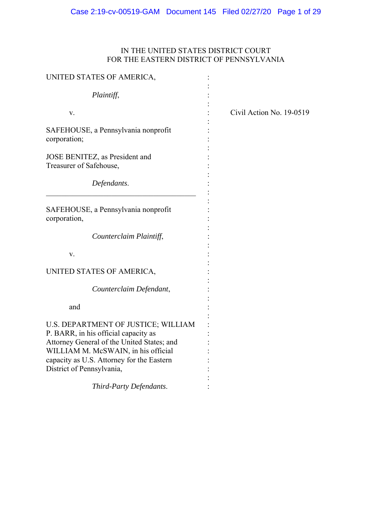# IN THE UNITED STATES DISTRICT COURT FOR THE EASTERN DISTRICT OF PENNSYLVANIA

| UNITED STATES OF AMERICA,                                                                                                                                                                                     |                          |
|---------------------------------------------------------------------------------------------------------------------------------------------------------------------------------------------------------------|--------------------------|
| Plaintiff,                                                                                                                                                                                                    |                          |
| V.                                                                                                                                                                                                            | Civil Action No. 19-0519 |
| SAFEHOUSE, a Pennsylvania nonprofit<br>corporation;                                                                                                                                                           |                          |
| JOSE BENITEZ, as President and<br>Treasurer of Safehouse,                                                                                                                                                     |                          |
| Defendants.                                                                                                                                                                                                   |                          |
| SAFEHOUSE, a Pennsylvania nonprofit<br>corporation,                                                                                                                                                           |                          |
| Counterclaim Plaintiff,                                                                                                                                                                                       |                          |
| v.                                                                                                                                                                                                            |                          |
| UNITED STATES OF AMERICA,                                                                                                                                                                                     |                          |
| Counterclaim Defendant,                                                                                                                                                                                       |                          |
| and                                                                                                                                                                                                           |                          |
| U.S. DEPARTMENT OF JUSTICE; WILLIAM<br>P. BARR, in his official capacity as<br>Attorney General of the United States; and<br>WILLIAM M. McSWAIN, in his official<br>capacity as U.S. Attorney for the Eastern |                          |
| District of Pennsylvania,                                                                                                                                                                                     |                          |
| Third-Party Defendants.                                                                                                                                                                                       |                          |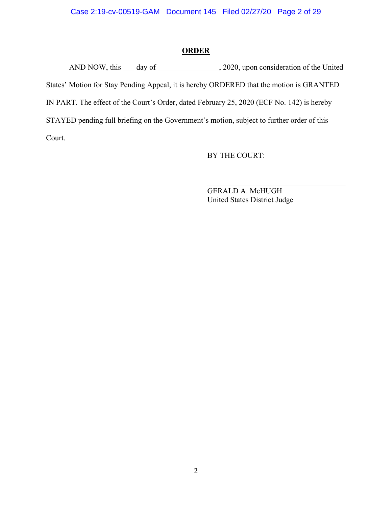### **ORDER**

AND NOW, this day of  $\qquad \qquad$ , 2020, upon consideration of the United States' Motion for Stay Pending Appeal, it is hereby ORDERED that the motion is GRANTED IN PART. The effect of the Court's Order, dated February 25, 2020 (ECF No. 142) is hereby STAYED pending full briefing on the Government's motion, subject to further order of this Court.

BY THE COURT:

 GERALD A. McHUGH United States District Judge

 $\mathcal{L}_\text{max}$  , where  $\mathcal{L}_\text{max}$  and  $\mathcal{L}_\text{max}$  and  $\mathcal{L}_\text{max}$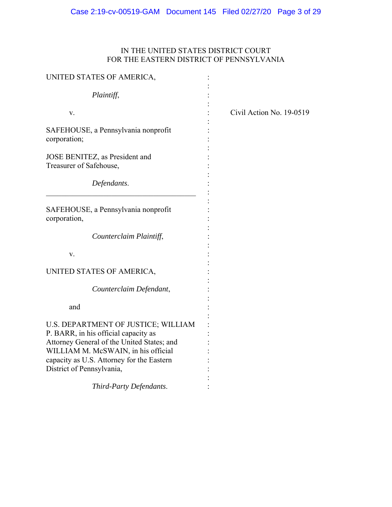# IN THE UNITED STATES DISTRICT COURT FOR THE EASTERN DISTRICT OF PENNSYLVANIA

| UNITED STATES OF AMERICA,                                                                                                                                        |                          |
|------------------------------------------------------------------------------------------------------------------------------------------------------------------|--------------------------|
| Plaintiff,                                                                                                                                                       |                          |
| V.                                                                                                                                                               | Civil Action No. 19-0519 |
| SAFEHOUSE, a Pennsylvania nonprofit<br>corporation;                                                                                                              |                          |
| JOSE BENITEZ, as President and<br>Treasurer of Safehouse,                                                                                                        |                          |
| Defendants.                                                                                                                                                      |                          |
| SAFEHOUSE, a Pennsylvania nonprofit<br>corporation,                                                                                                              |                          |
| Counterclaim Plaintiff,                                                                                                                                          |                          |
| v.                                                                                                                                                               |                          |
| UNITED STATES OF AMERICA,                                                                                                                                        |                          |
| Counterclaim Defendant,                                                                                                                                          |                          |
| and                                                                                                                                                              |                          |
| U.S. DEPARTMENT OF JUSTICE; WILLIAM<br>P. BARR, in his official capacity as<br>Attorney General of the United States; and<br>WILLIAM M. McSWAIN, in his official |                          |
| capacity as U.S. Attorney for the Eastern<br>District of Pennsylvania,                                                                                           |                          |
| Third-Party Defendants.                                                                                                                                          |                          |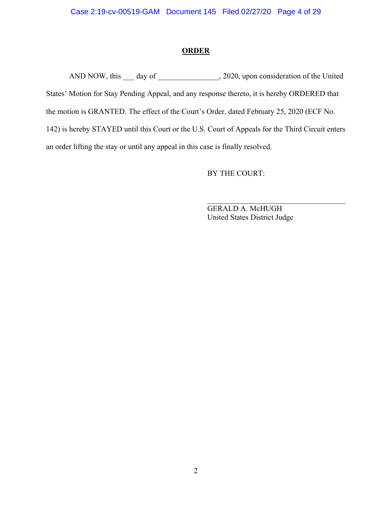### **ORDER**

AND NOW, this \_\_\_ day of \_\_\_\_\_\_\_\_\_\_\_\_\_\_, 2020, upon consideration of the United States' Motion for Stay Pending Appeal, and any response thereto, it is hereby ORDERED that the motion is GRANTED. The effect of the Court's Order, dated February 25, 2020 (ECF No. 142) is hereby STAYED until this Court or the U.S. Court of Appeals for the Third Circuit enters an order lifting the stay or until any appeal in this case is finally resolved.

BY THE COURT:

 GERALD A. McHUGH United States District Judge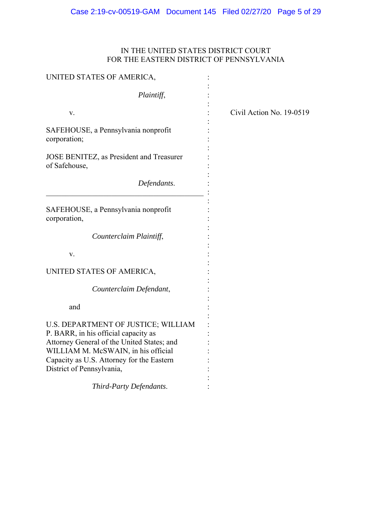# IN THE UNITED STATES DISTRICT COURT FOR THE EASTERN DISTRICT OF PENNSYLVANIA

| UNITED STATES OF AMERICA,                                                         |                          |
|-----------------------------------------------------------------------------------|--------------------------|
| Plaintiff,                                                                        |                          |
| V.                                                                                | Civil Action No. 19-0519 |
| SAFEHOUSE, a Pennsylvania nonprofit<br>corporation;                               |                          |
| JOSE BENITEZ, as President and Treasurer<br>of Safehouse,                         |                          |
| Defendants.                                                                       |                          |
| SAFEHOUSE, a Pennsylvania nonprofit<br>corporation,                               |                          |
| Counterclaim Plaintiff,                                                           |                          |
| v.                                                                                |                          |
| UNITED STATES OF AMERICA,                                                         |                          |
| Counterclaim Defendant,                                                           |                          |
| and                                                                               |                          |
| U.S. DEPARTMENT OF JUSTICE; WILLIAM<br>P. BARR, in his official capacity as       |                          |
| Attorney General of the United States; and<br>WILLIAM M. McSWAIN, in his official |                          |
| Capacity as U.S. Attorney for the Eastern<br>District of Pennsylvania,            |                          |
| Third-Party Defendants.                                                           |                          |
|                                                                                   |                          |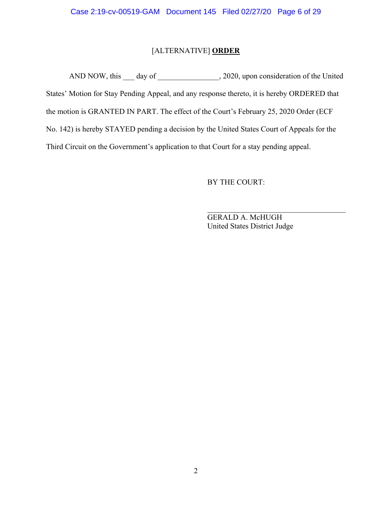# [ALTERNATIVE] **ORDER**

AND NOW, this \_\_\_ day of \_\_\_\_\_\_\_\_\_\_\_\_\_\_, 2020, upon consideration of the United States' Motion for Stay Pending Appeal, and any response thereto, it is hereby ORDERED that the motion is GRANTED IN PART. The effect of the Court's February 25, 2020 Order (ECF No. 142) is hereby STAYED pending a decision by the United States Court of Appeals for the Third Circuit on the Government's application to that Court for a stay pending appeal.

BY THE COURT:

 GERALD A. McHUGH United States District Judge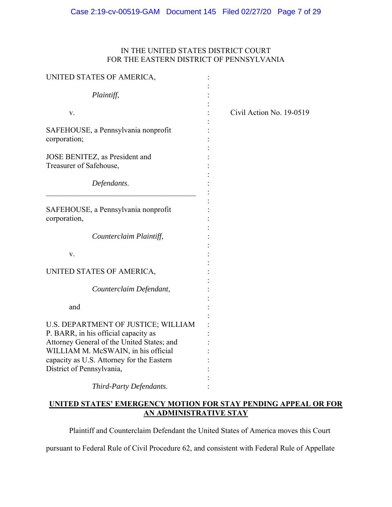# IN THE UNITED STATES DISTRICT COURT FOR THE EASTERN DISTRICT OF PENNSYLVANIA

| UNITED STATES OF AMERICA,                                                                                                                                                                                                                  |                          |
|--------------------------------------------------------------------------------------------------------------------------------------------------------------------------------------------------------------------------------------------|--------------------------|
| Plaintiff,                                                                                                                                                                                                                                 |                          |
| V.                                                                                                                                                                                                                                         | Civil Action No. 19-0519 |
| SAFEHOUSE, a Pennsylvania nonprofit<br>corporation;                                                                                                                                                                                        |                          |
| JOSE BENITEZ, as President and<br>Treasurer of Safehouse,                                                                                                                                                                                  |                          |
| Defendants.                                                                                                                                                                                                                                |                          |
| SAFEHOUSE, a Pennsylvania nonprofit<br>corporation,                                                                                                                                                                                        |                          |
| Counterclaim Plaintiff,                                                                                                                                                                                                                    |                          |
| v.                                                                                                                                                                                                                                         |                          |
| UNITED STATES OF AMERICA,                                                                                                                                                                                                                  |                          |
| Counterclaim Defendant,                                                                                                                                                                                                                    |                          |
| and                                                                                                                                                                                                                                        |                          |
| U.S. DEPARTMENT OF JUSTICE; WILLIAM<br>P. BARR, in his official capacity as<br>Attorney General of the United States; and<br>WILLIAM M. McSWAIN, in his official<br>capacity as U.S. Attorney for the Eastern<br>District of Pennsylvania, |                          |
| Third-Party Defendants.                                                                                                                                                                                                                    |                          |

### **UNITED STATES' EMERGENCY MOTION FOR STAY PENDING APPEAL OR FOR AN ADMINISTRATIVE STAY**

Plaintiff and Counterclaim Defendant the United States of America moves this Court

pursuant to Federal Rule of Civil Procedure 62, and consistent with Federal Rule of Appellate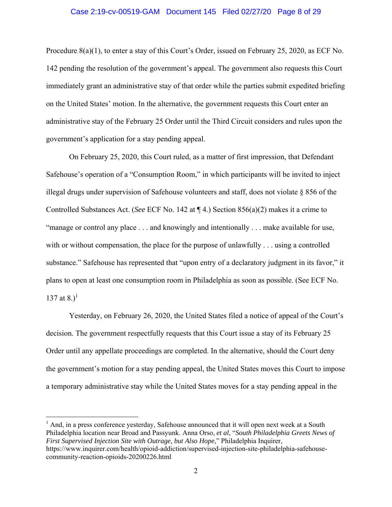#### Case 2:19-cv-00519-GAM Document 145 Filed 02/27/20 Page 8 of 29

Procedure 8(a)(1), to enter a stay of this Court's Order, issued on February 25, 2020, as ECF No. 142 pending the resolution of the government's appeal. The government also requests this Court immediately grant an administrative stay of that order while the parties submit expedited briefing on the United States' motion. In the alternative, the government requests this Court enter an administrative stay of the February 25 Order until the Third Circuit considers and rules upon the government's application for a stay pending appeal.

On February 25, 2020, this Court ruled, as a matter of first impression, that Defendant Safehouse's operation of a "Consumption Room," in which participants will be invited to inject illegal drugs under supervision of Safehouse volunteers and staff, does not violate § 856 of the Controlled Substances Act. (*See* ECF No. 142 at ¶ 4.) Section 856(a)(2) makes it a crime to "manage or control any place . . . and knowingly and intentionally . . . make available for use, with or without compensation, the place for the purpose of unlawfully . . . using a controlled substance." Safehouse has represented that "upon entry of a declaratory judgment in its favor," it plans to open at least one consumption room in Philadelphia as soon as possible. (See ECF No. 137 at 8. $1^{1}$ 

Yesterday, on February 26, 2020, the United States filed a notice of appeal of the Court's decision. The government respectfully requests that this Court issue a stay of its February 25 Order until any appellate proceedings are completed. In the alternative, should the Court deny the government's motion for a stay pending appeal, the United States moves this Court to impose a temporary administrative stay while the United States moves for a stay pending appeal in the

 $<sup>1</sup>$  And, in a press conference yesterday, Safehouse announced that it will open next week at a South</sup> Philadelphia location near Broad and Passyunk. Anna Orso, *et al*, "*South Philadelphia Greets News of First Supervised Injection Site with Outrage, but Also Hope*," Philadelphia Inquirer, https://www.inquirer.com/health/opioid-addiction/supervised-injection-site-philadelphia-safehousecommunity-reaction-opioids-20200226.html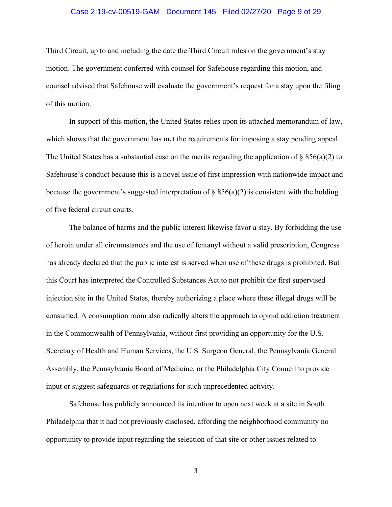#### Case 2:19-cv-00519-GAM Document 145 Filed 02/27/20 Page 9 of 29

Third Circuit, up to and including the date the Third Circuit rules on the government's stay motion. The government conferred with counsel for Safehouse regarding this motion, and counsel advised that Safehouse will evaluate the government's request for a stay upon the filing of this motion.

In support of this motion, the United States relies upon its attached memorandum of law, which shows that the government has met the requirements for imposing a stay pending appeal. The United States has a substantial case on the merits regarding the application of  $\S 856(a)(2)$  to Safehouse's conduct because this is a novel issue of first impression with nationwide impact and because the government's suggested interpretation of  $\S$  856(a)(2) is consistent with the holding of five federal circuit courts.

The balance of harms and the public interest likewise favor a stay. By forbidding the use of heroin under all circumstances and the use of fentanyl without a valid prescription, Congress has already declared that the public interest is served when use of these drugs is prohibited. But this Court has interpreted the Controlled Substances Act to not prohibit the first supervised injection site in the United States, thereby authorizing a place where these illegal drugs will be consumed. A consumption room also radically alters the approach to opioid addiction treatment in the Commonwealth of Pennsylvania, without first providing an opportunity for the U.S. Secretary of Health and Human Services, the U.S. Surgeon General, the Pennsylvania General Assembly, the Pennsylvania Board of Medicine, or the Philadelphia City Council to provide input or suggest safeguards or regulations for such unprecedented activity.

Safehouse has publicly announced its intention to open next week at a site in South Philadelphia that it had not previously disclosed, affording the neighborhood community no opportunity to provide input regarding the selection of that site or other issues related to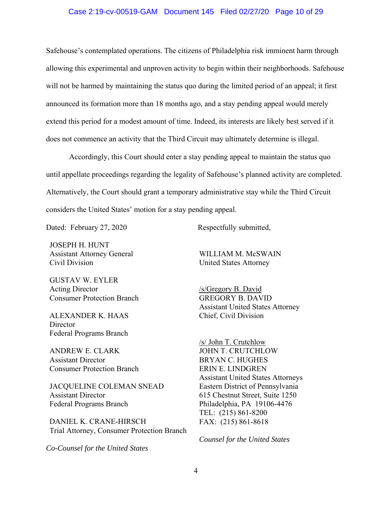#### Case 2:19-cv-00519-GAM Document 145 Filed 02/27/20 Page 10 of 29

Safehouse's contemplated operations. The citizens of Philadelphia risk imminent harm through allowing this experimental and unproven activity to begin within their neighborhoods. Safehouse will not be harmed by maintaining the status quo during the limited period of an appeal; it first announced its formation more than 18 months ago, and a stay pending appeal would merely extend this period for a modest amount of time. Indeed, its interests are likely best served if it does not commence an activity that the Third Circuit may ultimately determine is illegal.

Accordingly, this Court should enter a stay pending appeal to maintain the status quo until appellate proceedings regarding the legality of Safehouse's planned activity are completed. Alternatively, the Court should grant a temporary administrative stay while the Third Circuit considers the United States' motion for a stay pending appeal.

Dated: February 27, 2020 Respectfully submitted,

JOSEPH H. HUNT Assistant Attorney General Civil Division

GUSTAV W. EYLER Acting Director Consumer Protection Branch

ALEXANDER K. HAAS **Director** Federal Programs Branch

ANDREW E. CLARK Assistant Director Consumer Protection Branch

JACQUELINE COLEMAN SNEAD Assistant Director Federal Programs Branch

DANIEL K. CRANE-HIRSCH Trial Attorney, Consumer Protection Branch

*Co-Counsel for the United States*

WILLIAM M. McSWAIN United States Attorney

/s/Gregory B. David GREGORY B. DAVID Assistant United States Attorney Chief, Civil Division

/s/ John T. Crutchlow JOHN T. CRUTCHLOW BRYAN C. HUGHES ERIN E. LINDGREN Assistant United States Attorneys Eastern District of Pennsylvania 615 Chestnut Street, Suite 1250 Philadelphia, PA 19106-4476 TEL: (215) 861-8200 FAX: (215) 861-8618

*Counsel for the United States*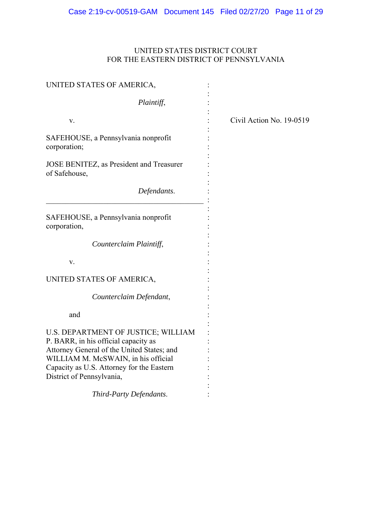# UNITED STATES DISTRICT COURT FOR THE EASTERN DISTRICT OF PENNSYLVANIA

| UNITED STATES OF AMERICA,                                                         |                          |
|-----------------------------------------------------------------------------------|--------------------------|
| Plaintiff,                                                                        |                          |
| V.                                                                                | Civil Action No. 19-0519 |
| SAFEHOUSE, a Pennsylvania nonprofit<br>corporation;                               |                          |
| JOSE BENITEZ, as President and Treasurer<br>of Safehouse,                         |                          |
| Defendants.                                                                       |                          |
| SAFEHOUSE, a Pennsylvania nonprofit<br>corporation,                               |                          |
| Counterclaim Plaintiff,                                                           |                          |
| V.                                                                                |                          |
| UNITED STATES OF AMERICA,                                                         |                          |
| Counterclaim Defendant,                                                           |                          |
| and                                                                               |                          |
| U.S. DEPARTMENT OF JUSTICE; WILLIAM<br>P. BARR, in his official capacity as       |                          |
| Attorney General of the United States; and<br>WILLIAM M. McSWAIN, in his official |                          |
| Capacity as U.S. Attorney for the Eastern<br>District of Pennsylvania,            |                          |
|                                                                                   |                          |
| Third-Party Defendants.                                                           |                          |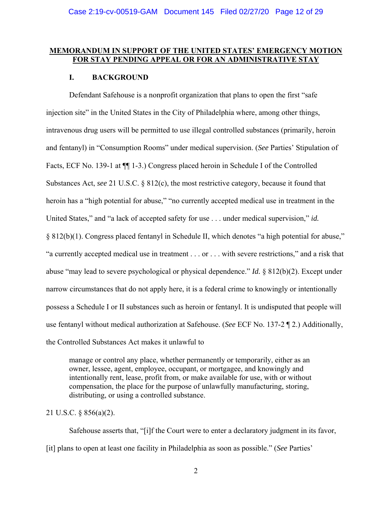### **MEMORANDUM IN SUPPORT OF THE UNITED STATES' EMERGENCY MOTION FOR STAY PENDING APPEAL OR FOR AN ADMINISTRATIVE STAY**

#### **I. BACKGROUND**

Defendant Safehouse is a nonprofit organization that plans to open the first "safe injection site" in the United States in the City of Philadelphia where, among other things, intravenous drug users will be permitted to use illegal controlled substances (primarily, heroin and fentanyl) in "Consumption Rooms" under medical supervision. (*See* Parties' Stipulation of Facts, ECF No. 139-1 at ¶¶ 1-3.) Congress placed heroin in Schedule I of the Controlled Substances Act, *see* 21 U.S.C. § 812(c), the most restrictive category, because it found that heroin has a "high potential for abuse," "no currently accepted medical use in treatment in the United States," and "a lack of accepted safety for use . . . under medical supervision," *id.* § 812(b)(1). Congress placed fentanyl in Schedule II, which denotes "a high potential for abuse," "a currently accepted medical use in treatment . . . or . . . with severe restrictions," and a risk that abuse "may lead to severe psychological or physical dependence." *Id.* § 812(b)(2). Except under narrow circumstances that do not apply here, it is a federal crime to knowingly or intentionally possess a Schedule I or II substances such as heroin or fentanyl. It is undisputed that people will use fentanyl without medical authorization at Safehouse. (*See* ECF No. 137-2 ¶ 2.) Additionally, the Controlled Substances Act makes it unlawful to

manage or control any place, whether permanently or temporarily, either as an owner, lessee, agent, employee, occupant, or mortgagee, and knowingly and intentionally rent, lease, profit from, or make available for use, with or without compensation, the place for the purpose of unlawfully manufacturing, storing, distributing, or using a controlled substance.

#### 21 U.S.C. § 856(a)(2).

 Safehouse asserts that, "[i]f the Court were to enter a declaratory judgment in its favor, [it] plans to open at least one facility in Philadelphia as soon as possible." (*See* Parties'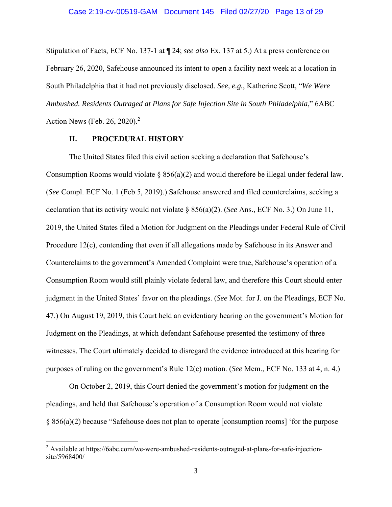Stipulation of Facts, ECF No. 137-1 at ¶ 24; *see also* Ex. 137 at 5.) At a press conference on February 26, 2020, Safehouse announced its intent to open a facility next week at a location in South Philadelphia that it had not previously disclosed. *See, e.g.*, Katherine Scott, "*We Were Ambushed. Residents Outraged at Plans for Safe Injection Site in South Philadelphia*," 6ABC Action News (Feb. 26, 2020).<sup>2</sup>

#### **II. PROCEDURAL HISTORY**

The United States filed this civil action seeking a declaration that Safehouse's Consumption Rooms would violate § 856(a)(2) and would therefore be illegal under federal law. (*See* Compl. ECF No. 1 (Feb 5, 2019).) Safehouse answered and filed counterclaims, seeking a declaration that its activity would not violate § 856(a)(2). (*See* Ans., ECF No. 3.) On June 11, 2019, the United States filed a Motion for Judgment on the Pleadings under Federal Rule of Civil Procedure 12(c), contending that even if all allegations made by Safehouse in its Answer and Counterclaims to the government's Amended Complaint were true, Safehouse's operation of a Consumption Room would still plainly violate federal law, and therefore this Court should enter judgment in the United States' favor on the pleadings. (*See* Mot. for J. on the Pleadings, ECF No. 47.) On August 19, 2019, this Court held an evidentiary hearing on the government's Motion for Judgment on the Pleadings, at which defendant Safehouse presented the testimony of three witnesses. The Court ultimately decided to disregard the evidence introduced at this hearing for purposes of ruling on the government's Rule 12(c) motion. (*See* Mem., ECF No. 133 at 4, n. 4.)

On October 2, 2019, this Court denied the government's motion for judgment on the pleadings, and held that Safehouse's operation of a Consumption Room would not violate § 856(a)(2) because "Safehouse does not plan to operate [consumption rooms] 'for the purpose

 2 Available at https://6abc.com/we-were-ambushed-residents-outraged-at-plans-for-safe-injectionsite/5968400/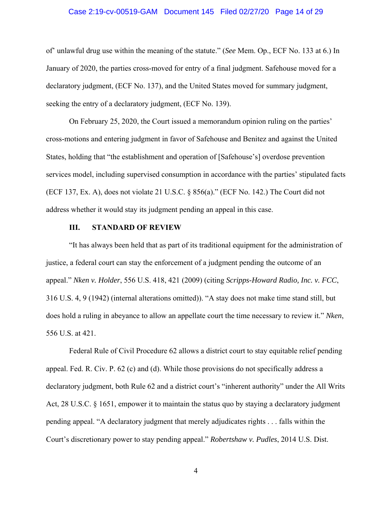#### Case 2:19-cv-00519-GAM Document 145 Filed 02/27/20 Page 14 of 29

of' unlawful drug use within the meaning of the statute." (*See* Mem. Op., ECF No. 133 at 6.) In January of 2020, the parties cross-moved for entry of a final judgment. Safehouse moved for a declaratory judgment, (ECF No. 137), and the United States moved for summary judgment, seeking the entry of a declaratory judgment, (ECF No. 139).

On February 25, 2020, the Court issued a memorandum opinion ruling on the parties' cross-motions and entering judgment in favor of Safehouse and Benitez and against the United States, holding that "the establishment and operation of [Safehouse's] overdose prevention services model, including supervised consumption in accordance with the parties' stipulated facts (ECF 137, Ex. A), does not violate 21 U.S.C. § 856(a)." (ECF No. 142.) The Court did not address whether it would stay its judgment pending an appeal in this case.

#### **III. STANDARD OF REVIEW**

"It has always been held that as part of its traditional equipment for the administration of justice, a federal court can stay the enforcement of a judgment pending the outcome of an appeal." *Nken v. Holder*, 556 U.S. 418, 421 (2009) (citing *Scripps-Howard Radio, Inc. v. FCC*, 316 U.S. 4, 9 (1942) (internal alterations omitted)). "A stay does not make time stand still, but does hold a ruling in abeyance to allow an appellate court the time necessary to review it." *Nken*, 556 U.S. at 421.

Federal Rule of Civil Procedure 62 allows a district court to stay equitable relief pending appeal. Fed. R. Civ. P. 62 (c) and (d). While those provisions do not specifically address a declaratory judgment, both Rule 62 and a district court's "inherent authority" under the All Writs Act, 28 U.S.C. § 1651, empower it to maintain the status quo by staying a declaratory judgment pending appeal. "A declaratory judgment that merely adjudicates rights . . . falls within the Court's discretionary power to stay pending appeal." *Robertshaw v. Pudles*, 2014 U.S. Dist.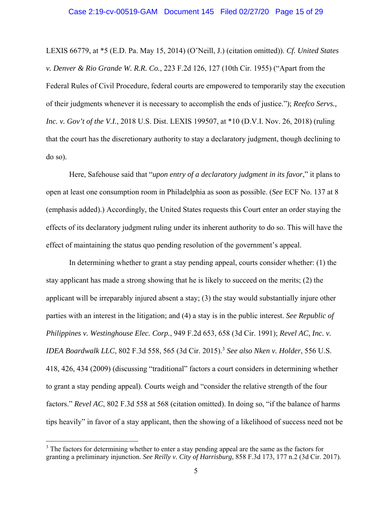LEXIS 66779, at \*5 (E.D. Pa. May 15, 2014) (O'Neill, J.) (citation omitted)). *Cf. United States v. Denver & Rio Grande W. R.R. Co.*, 223 F.2d 126, 127 (10th Cir. 1955) ("Apart from the Federal Rules of Civil Procedure, federal courts are empowered to temporarily stay the execution of their judgments whenever it is necessary to accomplish the ends of justice."); *Reefco Servs., Inc. v. Gov't of the V.I.*, 2018 U.S. Dist. LEXIS 199507, at \*10 (D.V.I. Nov. 26, 2018) (ruling that the court has the discretionary authority to stay a declaratory judgment, though declining to do so)*.* 

Here, Safehouse said that "*upon entry of a declaratory judgment in its favor*," it plans to open at least one consumption room in Philadelphia as soon as possible. (*See* ECF No. 137 at 8 (emphasis added).) Accordingly, the United States requests this Court enter an order staying the effects of its declaratory judgment ruling under its inherent authority to do so. This will have the effect of maintaining the status quo pending resolution of the government's appeal.

In determining whether to grant a stay pending appeal, courts consider whether: (1) the stay applicant has made a strong showing that he is likely to succeed on the merits; (2) the applicant will be irreparably injured absent a stay; (3) the stay would substantially injure other parties with an interest in the litigation; and (4) a stay is in the public interest. *See Republic of Philippines v. Westinghouse Elec. Corp.*, 949 F.2d 653, 658 (3d Cir. 1991); *Revel AC, Inc. v. IDEA Boardwalk LLC*, 802 F.3d 558, 565 (3d Cir. 2015).<sup>3</sup> *See also Nken v. Holder*, 556 U.S. 418, 426, 434 (2009) (discussing "traditional" factors a court considers in determining whether to grant a stay pending appeal). Courts weigh and "consider the relative strength of the four factors." *Revel AC*, 802 F.3d 558 at 568 (citation omitted). In doing so, "if the balance of harms tips heavily" in favor of a stay applicant, then the showing of a likelihood of success need not be

 $3$  The factors for determining whether to enter a stay pending appeal are the same as the factors for granting a preliminary injunction. *See Reilly v. City of Harrisburg*, 858 F.3d 173, 177 n.2 (3d Cir. 2017).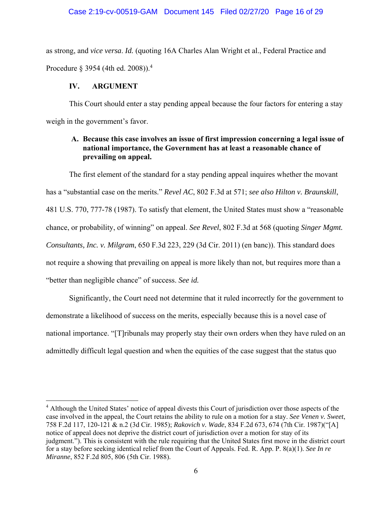as strong, and *vice versa*. *Id.* (quoting 16A Charles Alan Wright et al., Federal Practice and Procedure  $\S 3954$  (4th ed. 2008)).<sup>4</sup>

#### **IV. ARGUMENT**

 $\overline{a}$ 

This Court should enter a stay pending appeal because the four factors for entering a stay weigh in the government's favor.

### **A. Because this case involves an issue of first impression concerning a legal issue of national importance, the Government has at least a reasonable chance of prevailing on appeal.**

The first element of the standard for a stay pending appeal inquires whether the movant has a "substantial case on the merits." *Revel AC*, 802 F.3d at 571; *see also Hilton v. Braunskill*, 481 U.S. 770, 777-78 (1987). To satisfy that element, the United States must show a "reasonable chance, or probability, of winning" on appeal. *See Revel*, 802 F.3d at 568 (quoting *Singer Mgmt. Consultants, Inc. v. Milgram*, 650 F.3d 223, 229 (3d Cir. 2011) (en banc)). This standard does not require a showing that prevailing on appeal is more likely than not, but requires more than a "better than negligible chance" of success. *See id.* 

Significantly, the Court need not determine that it ruled incorrectly for the government to demonstrate a likelihood of success on the merits, especially because this is a novel case of national importance. "[T]ribunals may properly stay their own orders when they have ruled on an admittedly difficult legal question and when the equities of the case suggest that the status quo

<sup>&</sup>lt;sup>4</sup> Although the United States' notice of appeal divests this Court of jurisdiction over those aspects of the case involved in the appeal, the Court retains the ability to rule on a motion for a stay. *See Venen v. Sweet*, 758 F.2d 117, 120-121 & n.2 (3d Cir. 1985); *Rakovich v. Wade*, 834 F.2d 673, 674 (7th Cir. 1987)("[A] notice of appeal does not deprive the district court of jurisdiction over a motion for stay of its judgment."). This is consistent with the rule requiring that the United States first move in the district court for a stay before seeking identical relief from the Court of Appeals. Fed. R. App. P. 8(a)(1). *See In re Miranne*, 852 F.2d 805, 806 (5th Cir. 1988).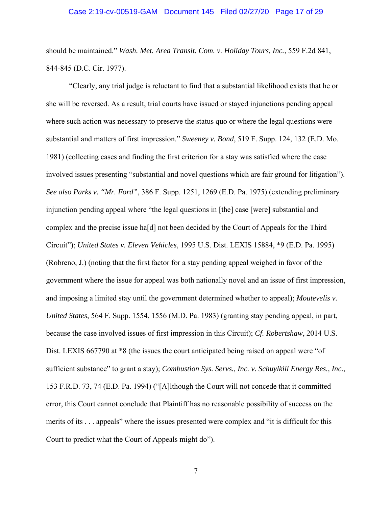#### Case 2:19-cv-00519-GAM Document 145 Filed 02/27/20 Page 17 of 29

should be maintained." *Wash. Met. Area Transit. Com. v. Holiday Tours, Inc.*, 559 F.2d 841, 844-845 (D.C. Cir. 1977).

"Clearly, any trial judge is reluctant to find that a substantial likelihood exists that he or she will be reversed. As a result, trial courts have issued or stayed injunctions pending appeal where such action was necessary to preserve the status quo or where the legal questions were substantial and matters of first impression." *Sweeney v. Bond*, 519 F. Supp. 124, 132 (E.D. Mo. 1981) (collecting cases and finding the first criterion for a stay was satisfied where the case involved issues presenting "substantial and novel questions which are fair ground for litigation"). *See also Parks v. "Mr. Ford"*, 386 F. Supp. 1251, 1269 (E.D. Pa. 1975) (extending preliminary injunction pending appeal where "the legal questions in [the] case [were] substantial and complex and the precise issue ha[d] not been decided by the Court of Appeals for the Third Circuit"); *United States v. Eleven Vehicles*, 1995 U.S. Dist. LEXIS 15884, \*9 (E.D. Pa. 1995) (Robreno, J.) (noting that the first factor for a stay pending appeal weighed in favor of the government where the issue for appeal was both nationally novel and an issue of first impression, and imposing a limited stay until the government determined whether to appeal); *Moutevelis v. United States*, 564 F. Supp. 1554, 1556 (M.D. Pa. 1983) (granting stay pending appeal, in part, because the case involved issues of first impression in this Circuit); *Cf. Robertshaw*, 2014 U.S. Dist. LEXIS 667790 at  $*8$  (the issues the court anticipated being raised on appeal were "of sufficient substance" to grant a stay); *Combustion Sys. Servs., Inc. v. Schuylkill Energy Res., Inc.*, 153 F.R.D. 73, 74 (E.D. Pa. 1994) ("[A]lthough the Court will not concede that it committed error, this Court cannot conclude that Plaintiff has no reasonable possibility of success on the merits of its . . . appeals" where the issues presented were complex and "it is difficult for this Court to predict what the Court of Appeals might do").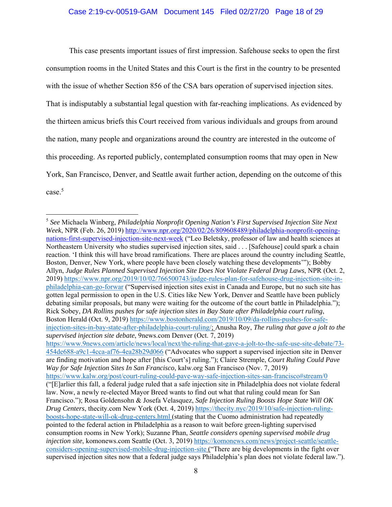This case presents important issues of first impression. Safehouse seeks to open the first consumption rooms in the United States and this Court is the first in the country to be presented with the issue of whether Section 856 of the CSA bars operation of supervised injection sites. That is indisputably a substantial legal question with far-reaching implications. As evidenced by the thirteen amicus briefs this Court received from various individuals and groups from around the nation, many people and organizations around the country are interested in the outcome of this proceeding. As reported publicly, contemplated consumption rooms that may open in New York, San Francisco, Denver, and Seattle await further action, depending on the outcome of this case.<sup>5</sup>

<sup>5</sup> *See* Michaela Winberg, *Philadelphia Nonprofit Opening Nation's First Supervised Injection Site Next Week*, NPR (Feb. 26, 2019) http://www.npr.org/2020/02/26/809608489/philadelphia-nonprofit-openingnations-first-supervised-injection-site-next-week ("Leo Beletsky, professor of law and health sciences at Northeastern University who studies supervised injection sites, said . . . [Safehouse] could spark a chain reaction. 'I think this will have broad ramifications. There are places around the country including Seattle, Boston, Denver, New York, where people have been closely watching these developments'"); Bobby Allyn, *Judge Rules Planned Supervised Injection Site Does Not Violate Federal Drug Laws*, NPR (Oct. 2, 2019) https://www.npr.org/2019/10/02/766500743/judge-rules-plan-for-safehouse-drug-injection-site-inphiladelphia-can-go-forwar ("Supervised injection sites exist in Canada and Europe, but no such site has gotten legal permission to open in the U.S. Cities like New York, Denver and Seattle have been publicly debating similar proposals, but many were waiting for the outcome of the court battle in Philadelphia."); Rick Sobey, *DA Rollins pushes for safe injection sites in Bay State after Philadelphia court ruling*, Boston Herald (Oct. 9, 2019) https://www.bostonherald.com/2019/10/09/da-rollins-pushes-for-safeinjection-sites-in-bay-state-after-philadelphia-court-ruling/; Anusha Roy, *The ruling that gave a jolt to the supervised injection site debate*, 9news.com Denver (Oct. 7, 2019) https://www.9news.com/article/news/local/next/the-ruling-that-gave-a-jolt-to-the-safe-use-site-debate/73- 454de688-a9c1-4cca-af76-4ea28b29d066 ("Advocates who support a supervised injection site in Denver are finding motivation and hope after [this Court's] ruling."); Claire Stremple, *Court Ruling Could Pave Way for Safe Injection Sites In San Francisco*, kalw.org San Francisco (Nov. 7, 2019) https://www.kalw.org/post/court-ruling-could-pave-way-safe-injection-sites-san-francisco#stream/0 ("[E]arlier this fall, a federal judge ruled that a safe injection site in Philadelphia does not violate federal law. Now, a newly re-elected Mayor Breed wants to find out what that ruling could mean for San Francisco."); Rosa Goldensohn & Josefa Velasquez, *Safe Injection Ruling Boosts Hope State Will OK Drug Centers*, thecity.com New York (Oct. 4, 2019) https://thecity.nyc/2019/10/safe-injection-rulingboosts-hope-state-will-ok-drug-centers.html (stating that the Cuomo administration had repeatedly pointed to the federal action in Philadelphia as a reason to wait before green-lighting supervised consumption rooms in New York); Suzanne Phan, *Seattle considers opening supervised mobile drug injection site*, komonews.com Seattle (Oct. 3, 2019) https://komonews.com/news/project-seattle/seattleconsiders-opening-supervised-mobile-drug-injection-site ("There are big developments in the fight over supervised injection sites now that a federal judge says Philadelphia's plan does not violate federal law.").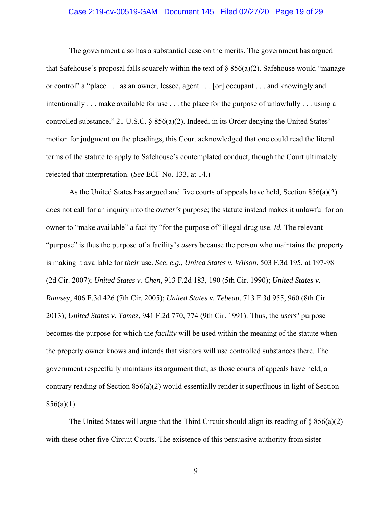#### Case 2:19-cv-00519-GAM Document 145 Filed 02/27/20 Page 19 of 29

The government also has a substantial case on the merits. The government has argued that Safehouse's proposal falls squarely within the text of  $\S$  856(a)(2). Safehouse would "manage" or control" a "place . . . as an owner, lessee, agent . . . [or] occupant . . . and knowingly and intentionally . . . make available for use . . . the place for the purpose of unlawfully . . . using a controlled substance." 21 U.S.C. § 856(a)(2). Indeed, in its Order denying the United States' motion for judgment on the pleadings, this Court acknowledged that one could read the literal terms of the statute to apply to Safehouse's contemplated conduct, though the Court ultimately rejected that interpretation. (*See* ECF No. 133, at 14.)

As the United States has argued and five courts of appeals have held, Section 856(a)(2) does not call for an inquiry into the *owner's* purpose; the statute instead makes it unlawful for an owner to "make available" a facility "for the purpose of" illegal drug use. *Id.* The relevant "purpose" is thus the purpose of a facility's *users* because the person who maintains the property is making it available for *their* use. *See, e.g., United States v. Wilson*, 503 F.3d 195, at 197-98 (2d Cir. 2007); *United States v. Chen*, 913 F.2d 183, 190 (5th Cir. 1990); *United States v. Ramsey*, 406 F.3d 426 (7th Cir. 2005); *United States v. Tebeau*, 713 F.3d 955, 960 (8th Cir. 2013); *United States v. Tamez*, 941 F.2d 770, 774 (9th Cir. 1991). Thus, the *users'* purpose becomes the purpose for which the *facility* will be used within the meaning of the statute when the property owner knows and intends that visitors will use controlled substances there. The government respectfully maintains its argument that, as those courts of appeals have held, a contrary reading of Section 856(a)(2) would essentially render it superfluous in light of Section  $856(a)(1)$ .

The United States will argue that the Third Circuit should align its reading of  $\S 856(a)(2)$ with these other five Circuit Courts. The existence of this persuasive authority from sister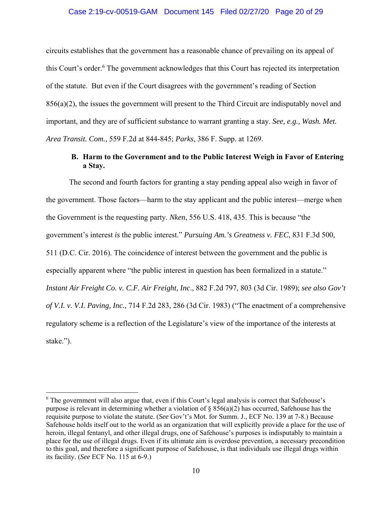#### Case 2:19-cv-00519-GAM Document 145 Filed 02/27/20 Page 20 of 29

circuits establishes that the government has a reasonable chance of prevailing on its appeal of this Court's order.<sup>6</sup> The government acknowledges that this Court has rejected its interpretation of the statute. But even if the Court disagrees with the government's reading of Section 856(a)(2), the issues the government will present to the Third Circuit are indisputably novel and important, and they are of sufficient substance to warrant granting a stay. *See, e.g., Wash. Met. Area Transit. Com.*, 559 F.2d at 844-845; *Parks*, 386 F. Supp. at 1269.

## **B. Harm to the Government and to the Public Interest Weigh in Favor of Entering a Stay.**

The second and fourth factors for granting a stay pending appeal also weigh in favor of the government. Those factors—harm to the stay applicant and the public interest—merge when the Government is the requesting party. *Nken*, 556 U.S. 418, 435. This is because "the government's interest *is* the public interest." *Pursuing Am.'s Greatness v. FEC*, 831 F.3d 500, 511 (D.C. Cir. 2016). The coincidence of interest between the government and the public is especially apparent where "the public interest in question has been formalized in a statute." *Instant Air Freight Co. v. C.F. Air Freight, Inc*., 882 F.2d 797, 803 (3d Cir. 1989); *see also Gov't of V.I. v. V.I. Paving, Inc.*, 714 F.2d 283, 286 (3d Cir. 1983) ("The enactment of a comprehensive regulatory scheme is a reflection of the Legislature's view of the importance of the interests at stake.").

<sup>&</sup>lt;sup>6</sup> The government will also argue that, even if this Court's legal analysis is correct that Safehouse's purpose is relevant in determining whether a violation of  $\S$  856(a)(2) has occurred, Safehouse has the requisite purpose to violate the statute. (*See* Gov't's Mot. for Summ. J., ECF No. 139 at 7-8.) Because Safehouse holds itself out to the world as an organization that will explicitly provide a place for the use of heroin, illegal fentanyl, and other illegal drugs, one of Safehouse's purposes is indisputably to maintain a place for the use of illegal drugs. Even if its ultimate aim is overdose prevention, a necessary precondition to this goal, and therefore a significant purpose of Safehouse, is that individuals use illegal drugs within its facility. (*See* ECF No. 115 at 6-9.)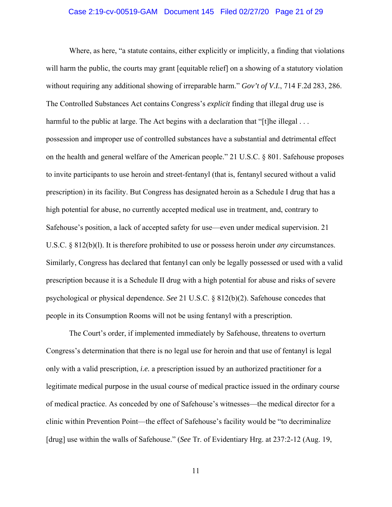#### Case 2:19-cv-00519-GAM Document 145 Filed 02/27/20 Page 21 of 29

Where, as here, "a statute contains, either explicitly or implicitly, a finding that violations will harm the public, the courts may grant [equitable relief] on a showing of a statutory violation without requiring any additional showing of irreparable harm." *Gov't of V.I.*, 714 F.2d 283, 286. The Controlled Substances Act contains Congress's *explicit* finding that illegal drug use is harmful to the public at large. The Act begins with a declaration that "[t]he illegal  $\dots$ possession and improper use of controlled substances have a substantial and detrimental effect on the health and general welfare of the American people." 21 U.S.C. § 801. Safehouse proposes to invite participants to use heroin and street-fentanyl (that is, fentanyl secured without a valid prescription) in its facility. But Congress has designated heroin as a Schedule I drug that has a high potential for abuse, no currently accepted medical use in treatment, and, contrary to Safehouse's position, a lack of accepted safety for use—even under medical supervision. 21 U.S.C. § 812(b)(l). It is therefore prohibited to use or possess heroin under *any* circumstances. Similarly, Congress has declared that fentanyl can only be legally possessed or used with a valid prescription because it is a Schedule II drug with a high potential for abuse and risks of severe psychological or physical dependence. *See* 21 U.S.C. § 812(b)(2). Safehouse concedes that people in its Consumption Rooms will not be using fentanyl with a prescription.

The Court's order, if implemented immediately by Safehouse, threatens to overturn Congress's determination that there is no legal use for heroin and that use of fentanyl is legal only with a valid prescription, *i.e.* a prescription issued by an authorized practitioner for a legitimate medical purpose in the usual course of medical practice issued in the ordinary course of medical practice. As conceded by one of Safehouse's witnesses—the medical director for a clinic within Prevention Point—the effect of Safehouse's facility would be "to decriminalize [drug] use within the walls of Safehouse." (*See* Tr. of Evidentiary Hrg. at 237:2-12 (Aug. 19,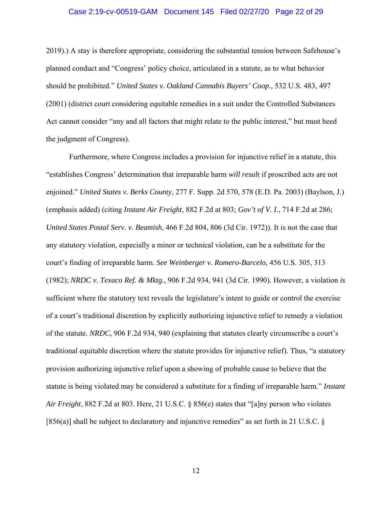#### Case 2:19-cv-00519-GAM Document 145 Filed 02/27/20 Page 22 of 29

2019).) A stay is therefore appropriate, considering the substantial tension between Safehouse's planned conduct and "Congress' policy choice, articulated in a statute, as to what behavior should be prohibited." *United States v. Oakland Cannabis Buyers' Coop.*, 532 U.S. 483, 497 (2001) (district court considering equitable remedies in a suit under the Controlled Substances Act cannot consider "any and all factors that might relate to the public interest," but must heed the judgment of Congress).

Furthermore, where Congress includes a provision for injunctive relief in a statute, this "establishes Congress' determination that irreparable harm *will result* if proscribed acts are not enjoined." *United States v. Berks County*, 277 F. Supp. 2d 570, 578 (E.D. Pa. 2003) (Baylson, J.) (emphasis added) (citing *Instant Air Freight*, 882 F.2d at 803; *Gov't of V. I.*, 714 F.2d at 286; *United States Postal Serv. v. Beamish*, 466 F.2d 804, 806 (3d Cir. 1972)). It is not the case that any statutory violation, especially a minor or technical violation, can be a substitute for the court's finding of irreparable harm. *See Weinberger v. Romero-Barcelo*, 456 U.S. 305, 313 (1982); *NRDC v. Texaco Ref. & Mktg.*, 906 F.2d 934, 941 (3d Cir. 1990)*.* However, a violation *is*  sufficient where the statutory text reveals the legislature's intent to guide or control the exercise of a court's traditional discretion by explicitly authorizing injunctive relief to remedy a violation of the statute. *NRDC*, 906 F.2d 934, 940 (explaining that statutes clearly circumscribe a court's traditional equitable discretion where the statute provides for injunctive relief). Thus, "a statutory provision authorizing injunctive relief upon a showing of probable cause to believe that the statute is being violated may be considered a substitute for a finding of irreparable harm." *Instant Air Freight*, 882 F.2d at 803. Here, 21 U.S.C. § 856(e) states that "[a]ny person who violates [856(a)] shall be subject to declaratory and injunctive remedies" as set forth in 21 U.S.C.  $\S$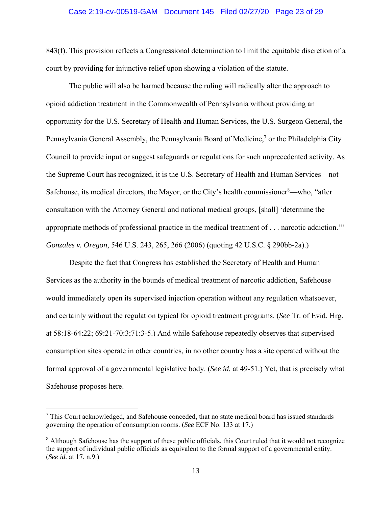#### Case 2:19-cv-00519-GAM Document 145 Filed 02/27/20 Page 23 of 29

843(f). This provision reflects a Congressional determination to limit the equitable discretion of a court by providing for injunctive relief upon showing a violation of the statute.

The public will also be harmed because the ruling will radically alter the approach to opioid addiction treatment in the Commonwealth of Pennsylvania without providing an opportunity for the U.S. Secretary of Health and Human Services, the U.S. Surgeon General, the Pennsylvania General Assembly, the Pennsylvania Board of Medicine,<sup>7</sup> or the Philadelphia City Council to provide input or suggest safeguards or regulations for such unprecedented activity. As the Supreme Court has recognized, it is the U.S. Secretary of Health and Human Services—not Safehouse, its medical directors, the Mayor, or the City's health commissioner $8$ —who, "after consultation with the Attorney General and national medical groups, [shall] 'determine the appropriate methods of professional practice in the medical treatment of . . . narcotic addiction.'" *Gonzales v. Oregon*, 546 U.S. 243, 265, 266 (2006) (quoting 42 U.S.C. § 290bb-2a).)

Despite the fact that Congress has established the Secretary of Health and Human Services as the authority in the bounds of medical treatment of narcotic addiction, Safehouse would immediately open its supervised injection operation without any regulation whatsoever, and certainly without the regulation typical for opioid treatment programs. (*See* Tr. of Evid. Hrg. at 58:18-64:22; 69:21-70:3;71:3-5.) And while Safehouse repeatedly observes that supervised consumption sites operate in other countries, in no other country has a site operated without the formal approval of a governmental legislative body. (*See id.* at 49-51.) Yet, that is precisely what Safehouse proposes here.

 $7$  This Court acknowledged, and Safehouse conceded, that no state medical board has issued standards governing the operation of consumption rooms. (*See* ECF No. 133 at 17.)

<sup>&</sup>lt;sup>8</sup> Although Safehouse has the support of these public officials, this Court ruled that it would not recognize the support of individual public officials as equivalent to the formal support of a governmental entity. (*See id.* at 17, n.9.)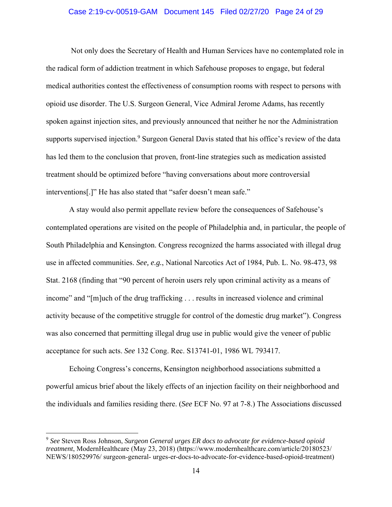#### Case 2:19-cv-00519-GAM Document 145 Filed 02/27/20 Page 24 of 29

 Not only does the Secretary of Health and Human Services have no contemplated role in the radical form of addiction treatment in which Safehouse proposes to engage, but federal medical authorities contest the effectiveness of consumption rooms with respect to persons with opioid use disorder. The U.S. Surgeon General, Vice Admiral Jerome Adams, has recently spoken against injection sites, and previously announced that neither he nor the Administration supports supervised injection.<sup>9</sup> Surgeon General Davis stated that his office's review of the data has led them to the conclusion that proven, front-line strategies such as medication assisted treatment should be optimized before "having conversations about more controversial interventions[.]" He has also stated that "safer doesn't mean safe."

A stay would also permit appellate review before the consequences of Safehouse's contemplated operations are visited on the people of Philadelphia and, in particular, the people of South Philadelphia and Kensington. Congress recognized the harms associated with illegal drug use in affected communities. *See, e.g.*, National Narcotics Act of 1984, Pub. L. No. 98-473, 98 Stat. 2168 (finding that "90 percent of heroin users rely upon criminal activity as a means of income" and "[m]uch of the drug trafficking . . . results in increased violence and criminal activity because of the competitive struggle for control of the domestic drug market"). Congress was also concerned that permitting illegal drug use in public would give the veneer of public acceptance for such acts. *See* 132 Cong. Rec. S13741-01, 1986 WL 793417.

Echoing Congress's concerns, Kensington neighborhood associations submitted a powerful amicus brief about the likely effects of an injection facility on their neighborhood and the individuals and families residing there. (*See* ECF No. 97 at 7-8.) The Associations discussed

<sup>9</sup> *See* Steven Ross Johnson, *Surgeon General urges ER docs to advocate for evidence-based opioid treatment*, ModernHealthcare (May 23, 2018) (https://www.modernhealthcare.com/article/20180523/ NEWS/180529976/ surgeon-general- urges-er-docs-to-advocate-for-evidence-based-opioid-treatment)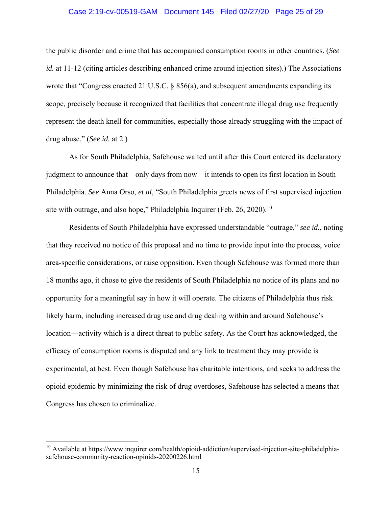#### Case 2:19-cv-00519-GAM Document 145 Filed 02/27/20 Page 25 of 29

the public disorder and crime that has accompanied consumption rooms in other countries. (*See id.* at 11-12 (citing articles describing enhanced crime around injection sites).) The Associations wrote that "Congress enacted 21 U.S.C. § 856(a), and subsequent amendments expanding its scope, precisely because it recognized that facilities that concentrate illegal drug use frequently represent the death knell for communities, especially those already struggling with the impact of drug abuse." (*See id.* at 2.)

As for South Philadelphia, Safehouse waited until after this Court entered its declaratory judgment to announce that—only days from now—it intends to open its first location in South Philadelphia. *See* Anna Orso, *et al*, "South Philadelphia greets news of first supervised injection site with outrage, and also hope," Philadelphia Inquirer (Feb. 26, 2020).<sup>10</sup>

Residents of South Philadelphia have expressed understandable "outrage," *see id.*, noting that they received no notice of this proposal and no time to provide input into the process, voice area-specific considerations, or raise opposition. Even though Safehouse was formed more than 18 months ago, it chose to give the residents of South Philadelphia no notice of its plans and no opportunity for a meaningful say in how it will operate. The citizens of Philadelphia thus risk likely harm, including increased drug use and drug dealing within and around Safehouse's location—activity which is a direct threat to public safety. As the Court has acknowledged, the efficacy of consumption rooms is disputed and any link to treatment they may provide is experimental, at best. Even though Safehouse has charitable intentions, and seeks to address the opioid epidemic by minimizing the risk of drug overdoses, Safehouse has selected a means that Congress has chosen to criminalize.

 $10$  Available at https://www.inquirer.com/health/opioid-addiction/supervised-injection-site-philadelphiasafehouse-community-reaction-opioids-20200226.html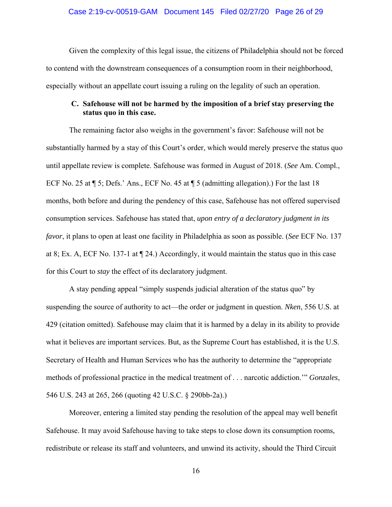Given the complexity of this legal issue, the citizens of Philadelphia should not be forced to contend with the downstream consequences of a consumption room in their neighborhood, especially without an appellate court issuing a ruling on the legality of such an operation.

### **C. Safehouse will not be harmed by the imposition of a brief stay preserving the status quo in this case.**

The remaining factor also weighs in the government's favor: Safehouse will not be substantially harmed by a stay of this Court's order, which would merely preserve the status quo until appellate review is complete. Safehouse was formed in August of 2018. (*See* Am. Compl., ECF No. 25 at  $\P$  5; Defs.' Ans., ECF No. 45 at  $\P$  5 (admitting allegation).) For the last 18 months, both before and during the pendency of this case, Safehouse has not offered supervised consumption services. Safehouse has stated that, *upon entry of a declaratory judgment in its favor*, it plans to open at least one facility in Philadelphia as soon as possible. (*See* ECF No. 137 at 8; Ex. A, ECF No. 137-1 at ¶ 24.) Accordingly, it would maintain the status quo in this case for this Court to *stay* the effect of its declaratory judgment.

A stay pending appeal "simply suspends judicial alteration of the status quo" by suspending the source of authority to act—the order or judgment in question. *Nken*, 556 U.S. at 429 (citation omitted). Safehouse may claim that it is harmed by a delay in its ability to provide what it believes are important services. But, as the Supreme Court has established, it is the U.S. Secretary of Health and Human Services who has the authority to determine the "appropriate methods of professional practice in the medical treatment of . . . narcotic addiction.'" *Gonzales*, 546 U.S. 243 at 265, 266 (quoting 42 U.S.C. § 290bb-2a).)

Moreover, entering a limited stay pending the resolution of the appeal may well benefit Safehouse. It may avoid Safehouse having to take steps to close down its consumption rooms, redistribute or release its staff and volunteers, and unwind its activity, should the Third Circuit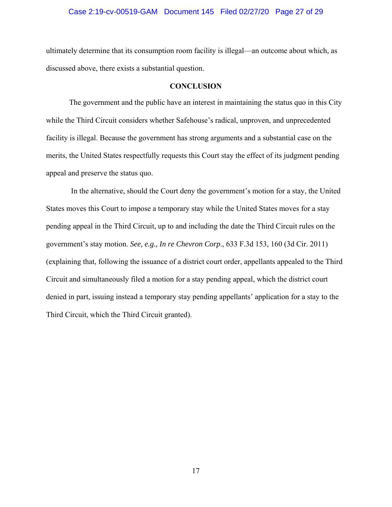#### Case 2:19-cv-00519-GAM Document 145 Filed 02/27/20 Page 27 of 29

ultimately determine that its consumption room facility is illegal—an outcome about which, as discussed above, there exists a substantial question.

#### **CONCLUSION**

The government and the public have an interest in maintaining the status quo in this City while the Third Circuit considers whether Safehouse's radical, unproven, and unprecedented facility is illegal. Because the government has strong arguments and a substantial case on the merits, the United States respectfully requests this Court stay the effect of its judgment pending appeal and preserve the status quo.

 In the alternative, should the Court deny the government's motion for a stay, the United States moves this Court to impose a temporary stay while the United States moves for a stay pending appeal in the Third Circuit, up to and including the date the Third Circuit rules on the government's stay motion. *See, e.g., In re Chevron Corp*., 633 F.3d 153, 160 (3d Cir. 2011) (explaining that, following the issuance of a district court order, appellants appealed to the Third Circuit and simultaneously filed a motion for a stay pending appeal, which the district court denied in part, issuing instead a temporary stay pending appellants' application for a stay to the Third Circuit, which the Third Circuit granted).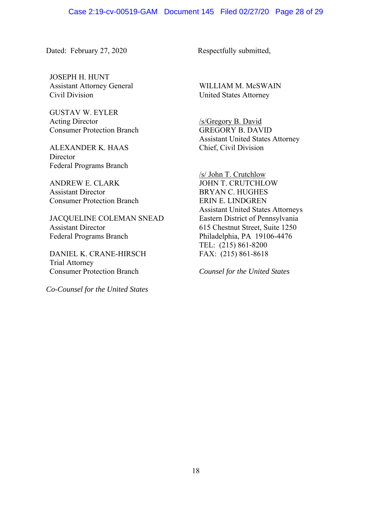Dated: February 27, 2020 Respectfully submitted,

JOSEPH H. HUNT Assistant Attorney General Civil Division

GUSTAV W. EYLER Acting Director Consumer Protection Branch

ALEXANDER K. HAAS **Director** Federal Programs Branch

ANDREW E. CLARK Assistant Director Consumer Protection Branch

JACQUELINE COLEMAN SNEAD Assistant Director Federal Programs Branch

DANIEL K. CRANE-HIRSCH Trial Attorney Consumer Protection Branch

*Co-Counsel for the United States*

WILLIAM M. McSWAIN United States Attorney

/s/Gregory B. David GREGORY B. DAVID Assistant United States Attorney Chief, Civil Division

/s/ John T. Crutchlow JOHN T. CRUTCHLOW BRYAN C. HUGHES ERIN E. LINDGREN Assistant United States Attorneys Eastern District of Pennsylvania 615 Chestnut Street, Suite 1250 Philadelphia, PA 19106-4476 TEL: (215) 861-8200 FAX: (215) 861-8618

*Counsel for the United States*